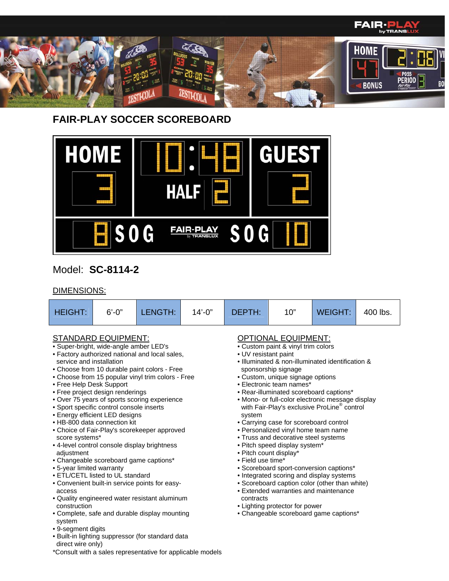

# **FAIR-PLAY SOCCER SCOREBOARD**

\*Consult with a sales representative for applicable models

• Complete, safe and durable display mounting

• Built-in lighting suppressor (for standard data

system

• 9-segment digits

direct wire only)



## Model: **SC-8114-2**

### DIMENSIONS:

| <b>HEIGHT:</b>                                                                                                                              | $6' - 0''$                                                                                                                                                                                                                                                                                                                                           | LENGTH:                                                                                                                                                                                                                                                                                                                                                | $14' - 0''$ | DEPTH:                                                           | 10"                                                                                                                                                                                                                                                                                                                                                                                                                                                               | <b>WEIGHT:</b>                                                                                                                                                                                                                                                                                          | 400 lbs. |
|---------------------------------------------------------------------------------------------------------------------------------------------|------------------------------------------------------------------------------------------------------------------------------------------------------------------------------------------------------------------------------------------------------------------------------------------------------------------------------------------------------|--------------------------------------------------------------------------------------------------------------------------------------------------------------------------------------------------------------------------------------------------------------------------------------------------------------------------------------------------------|-------------|------------------------------------------------------------------|-------------------------------------------------------------------------------------------------------------------------------------------------------------------------------------------------------------------------------------------------------------------------------------------------------------------------------------------------------------------------------------------------------------------------------------------------------------------|---------------------------------------------------------------------------------------------------------------------------------------------------------------------------------------------------------------------------------------------------------------------------------------------------------|----------|
| service and installation<br>• Free Help Desk Support<br>score systems*<br>adjustment<br>• 5-year limited warranty<br>access<br>construction | <b>STANDARD EQUIPMENT:</b><br>• Super-bright, wide-angle amber LED's<br>• Free project design renderings<br>• Sport specific control console inserts<br>• Energy efficient LED designs<br>• HB-800 data connection kit<br>• 4-level control console display brightness<br>• Changeable scoreboard game captions*<br>• ETL/CETL listed to UL standard | • Factory authorized national and local sales,<br>• Choose from 10 durable paint colors - Free<br>• Choose from 15 popular vinyl trim colors - Free<br>. Over 75 years of sports scoring experience<br>• Choice of Fair-Play's scorekeeper approved<br>• Convenient built-in service points for easy-<br>• Quality engineered water resistant aluminum |             | • UV resistant paint<br>system<br>• Field use time*<br>contracts | <b>OPTIONAL EQUIPMENT:</b><br>• Custom paint & vinyl trim colors<br>sponsorship signage<br>• Custom, unique signage options<br>• Electronic team names*<br>• Rear-illuminated scoreboard captions*<br>• Carrying case for scoreboard control<br>• Personalized vinyl home team name<br>• Truss and decorative steel systems<br>· Pitch speed display system*<br>• Pitch count display*<br>• Extended warranties and maintenance<br>• Lighting protector for power | · Illuminated & non-illuminated identification &<br>• Mono- or full-color electronic message display<br>with Fair-Play's exclusive ProLine <sup>®</sup> control<br>• Scoreboard sport-conversion captions*<br>• Integrated scoring and display systems<br>• Scoreboard caption color (other than white) |          |

- Lighting protector for power
	- Changeable scoreboard game captions\*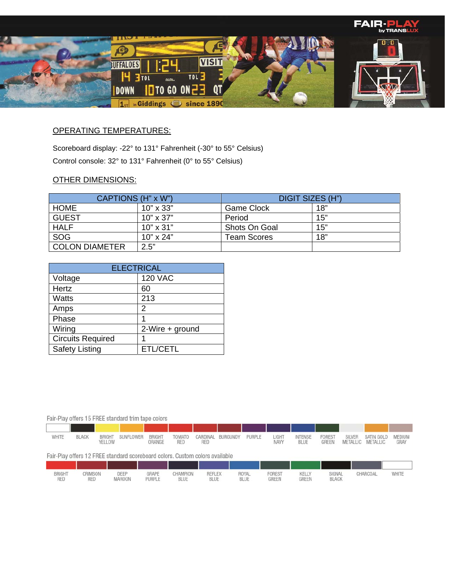

## OPERATING TEMPERATURES:

Scoreboard display: -22° to 131° Fahrenheit (-30° to 55° Celsius) Control console: 32° to 131° Fahrenheit (0° to 55° Celsius)

### OTHER DIMENSIONS:

| CAPTIONS (H" x W")    |                  | DIGIT SIZES (H")   |     |  |  |  |
|-----------------------|------------------|--------------------|-----|--|--|--|
| <b>HOME</b>           | $10" \times 33"$ | Game Clock         | 18" |  |  |  |
| <b>GUEST</b>          | $10" \times 37"$ | Period             | 15" |  |  |  |
| <b>HALF</b>           | $10" \times 31"$ | Shots On Goal      | 15" |  |  |  |
| SOG                   | $10" \times 24"$ | <b>Team Scores</b> | 18" |  |  |  |
| <b>COLON DIAMETER</b> | 2.5"             |                    |     |  |  |  |

| <b>ELECTRICAL</b>        |                 |  |  |  |  |  |  |  |
|--------------------------|-----------------|--|--|--|--|--|--|--|
| Voltage                  | <b>120 VAC</b>  |  |  |  |  |  |  |  |
| Hertz                    | 60              |  |  |  |  |  |  |  |
| <b>Watts</b>             | 213             |  |  |  |  |  |  |  |
| Amps                     | 2               |  |  |  |  |  |  |  |
| Phase                    |                 |  |  |  |  |  |  |  |
| Wiring                   | 2-Wire + ground |  |  |  |  |  |  |  |
| <b>Circuits Required</b> |                 |  |  |  |  |  |  |  |
| <b>Safety Listing</b>    | ETL/CETL        |  |  |  |  |  |  |  |

#### Fair-Play offers 15 FREE standard trim tape colors

| WHITE | <b>BLACK</b> | <b>BRIGHT</b><br>VEI<br>ELLOW | SUNFLOWER | <b>BRIGHT</b><br>ORANGE | <b>TOMATO</b><br>RED | CARDINAL<br>RED | BURGUNDY | PURPLE | <b>LIGHT</b><br>NAVY | <b>INTENSE</b><br><b>BLUE</b> | FOREST<br>GREE | <b>SILVER</b><br><b>METALLIC</b> | SATIN GOLD<br>METALLIC | MEDIUM<br>GRAY |
|-------|--------------|-------------------------------|-----------|-------------------------|----------------------|-----------------|----------|--------|----------------------|-------------------------------|----------------|----------------------------------|------------------------|----------------|

#### Fair-Play offers 12 FREE standard scoreboard colors. Custom colors available

| <b>BRIGHT</b><br>RED | <b>CRIMSON</b><br>RED | DEEP<br>MAROON | GRAPE<br>PURPLE | CHAMPION<br>BLUE | <b>REFLEX</b><br><b>BLUE</b> | ROYAL<br><b>BLUE</b> | FOREST<br>GREEN | KELLY<br>GREEN | SIGNAL<br><b>BLACK</b> | CHARCOAL | WHITE |
|----------------------|-----------------------|----------------|-----------------|------------------|------------------------------|----------------------|-----------------|----------------|------------------------|----------|-------|